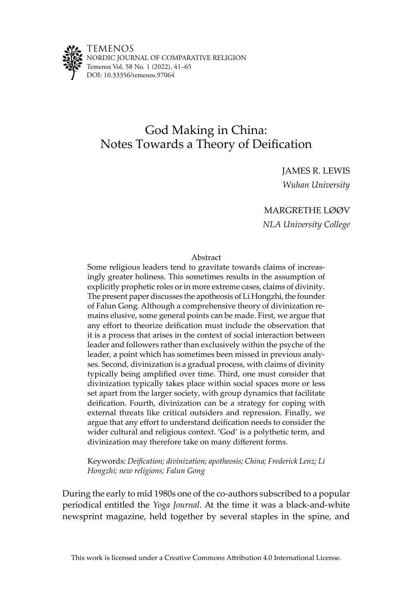

# God Making in China: Notes Towards a Theory of Deification

JAMES R. LEWIS *Wuhan University*

# MARGRETHE LØØV

*NLA University College*

#### Abstract

Some religious leaders tend to gravitate towards claims of increasingly greater holiness. This sometimes results in the assumption of explicitly prophetic roles or in more extreme cases, claims of divinity. The present paper discusses the apotheosis of Li Hongzhi, the founder of Falun Gong. Although a comprehensive theory of divinization remains elusive, some general points can be made. First, we argue that any effort to theorize deification must include the observation that it is a process that arises in the context of social interaction between leader and followers rather than exclusively within the psyche of the leader, a point which has sometimes been missed in previous analyses. Second, divinization is a gradual process, with claims of divinity typically being amplified over time. Third, one must consider that divinization typically takes place within social spaces more or less set apart from the larger society, with group dynamics that facilitate deification. Fourth, divinization can be a strategy for coping with external threats like critical outsiders and repression. Finally, we argue that any effort to understand deification needs to consider the wider cultural and religious context. 'God' is a polythetic term, and divinization may therefore take on many different forms.

Keywords: *Deification; divinization; apotheosis; China; Frederick Lenz; Li Hongzhi; new religions; Falun Gong*

During the early to mid 1980s one of the co-authors subscribed to a popular periodical entitled the *Yoga Journal*. At the time it was a black-and-white newsprint magazine, held together by several staples in the spine, and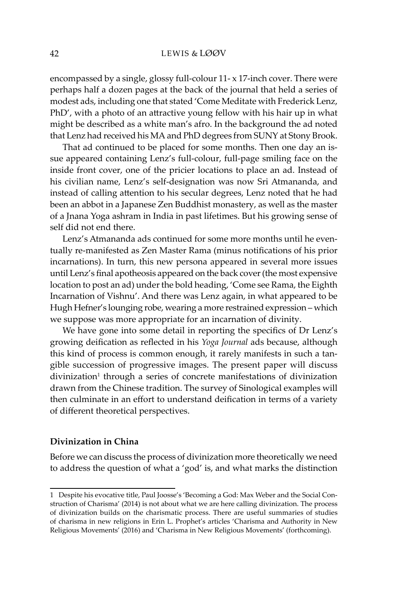encompassed by a single, glossy full-colour 11- x 17-inch cover. There were perhaps half a dozen pages at the back of the journal that held a series of modest ads, including one that stated 'Come Meditate with Frederick Lenz, PhD', with a photo of an attractive young fellow with his hair up in what might be described as a white man's afro. In the background the ad noted that Lenz had received his MA and PhD degrees from SUNY at Stony Brook.

That ad continued to be placed for some months. Then one day an issue appeared containing Lenz's full-colour, full-page smiling face on the inside front cover, one of the pricier locations to place an ad. Instead of his civilian name, Lenz's self-designation was now Sri Atmananda, and instead of calling attention to his secular degrees, Lenz noted that he had been an abbot in a Japanese Zen Buddhist monastery, as well as the master of a Jnana Yoga ashram in India in past lifetimes. But his growing sense of self did not end there.

Lenz's Atmananda ads continued for some more months until he eventually re-manifested as Zen Master Rama (minus notifications of his prior incarnations). In turn, this new persona appeared in several more issues until Lenz's final apotheosis appeared on the back cover (the most expensive location to post an ad) under the bold heading, 'Come see Rama, the Eighth Incarnation of Vishnu'. And there was Lenz again, in what appeared to be Hugh Hefner's lounging robe, wearing a more restrained expression – which we suppose was more appropriate for an incarnation of divinity.

We have gone into some detail in reporting the specifics of Dr Lenz's growing deification as reflected in his *Yoga Journal* ads because, although this kind of process is common enough, it rarely manifests in such a tangible succession of progressive images. The present paper will discuss divinization<sup>1</sup> through a series of concrete manifestations of divinization drawn from the Chinese tradition. The survey of Sinological examples will then culminate in an effort to understand deification in terms of a variety of different theoretical perspectives.

# **Divinization in China**

Before we can discuss the process of divinization more theoretically we need to address the question of what a 'god' is, and what marks the distinction

<sup>1</sup> Despite his evocative title, Paul Joosse's 'Becoming a God: Max Weber and the Social Construction of Charisma' (2014) is not about what we are here calling divinization. The process of divinization builds on the charismatic process. There are useful summaries of studies of charisma in new religions in Erin L. Prophet's articles 'Charisma and Authority in New Religious Movements' (2016) and 'Charisma in New Religious Movements' (forthcoming).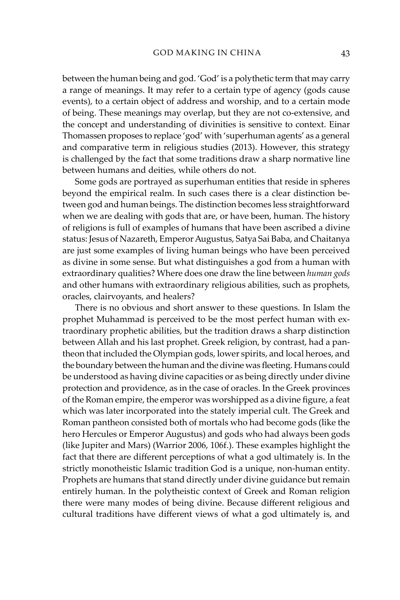between the human being and god. 'God' is a polythetic term that may carry a range of meanings. It may refer to a certain type of agency (gods cause events), to a certain object of address and worship, and to a certain mode of being. These meanings may overlap, but they are not co-extensive, and the concept and understanding of divinities is sensitive to context. Einar Thomassen proposes to replace 'god' with 'superhuman agents' as a general and comparative term in religious studies (2013). However, this strategy is challenged by the fact that some traditions draw a sharp normative line between humans and deities, while others do not.

Some gods are portrayed as superhuman entities that reside in spheres beyond the empirical realm. In such cases there is a clear distinction between god and human beings. The distinction becomes less straightforward when we are dealing with gods that are, or have been, human. The history of religions is full of examples of humans that have been ascribed a divine status: Jesus of Nazareth, Emperor Augustus, Satya Sai Baba, and Chaitanya are just some examples of living human beings who have been perceived as divine in some sense. But what distinguishes a god from a human with extraordinary qualities? Where does one draw the line between *human gods* and other humans with extraordinary religious abilities, such as prophets, oracles, clairvoyants, and healers?

There is no obvious and short answer to these questions. In Islam the prophet Muhammad is perceived to be the most perfect human with extraordinary prophetic abilities, but the tradition draws a sharp distinction between Allah and his last prophet. Greek religion, by contrast, had a pantheon that included the Olympian gods, lower spirits, and local heroes, and the boundary between the human and the divine was fleeting. Humans could be understood as having divine capacities or as being directly under divine protection and providence, as in the case of oracles. In the Greek provinces of the Roman empire, the emperor was worshipped as a divine figure, a feat which was later incorporated into the stately imperial cult. The Greek and Roman pantheon consisted both of mortals who had become gods (like the hero Hercules or Emperor Augustus) and gods who had always been gods (like Jupiter and Mars) (Warrior 2006, 106f.). These examples highlight the fact that there are different perceptions of what a god ultimately is. In the strictly monotheistic Islamic tradition God is a unique, non-human entity. Prophets are humans that stand directly under divine guidance but remain entirely human. In the polytheistic context of Greek and Roman religion there were many modes of being divine. Because different religious and cultural traditions have different views of what a god ultimately is, and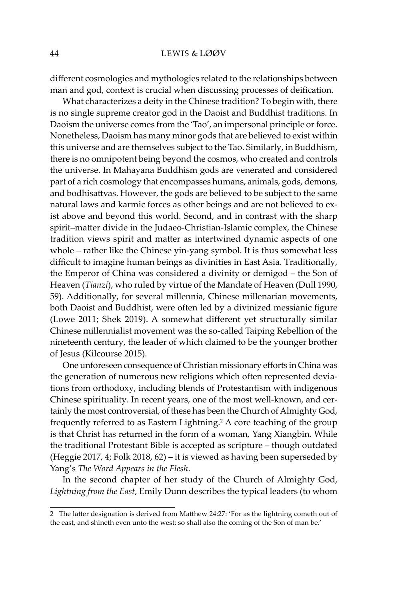different cosmologies and mythologies related to the relationships between man and god, context is crucial when discussing processes of deification.

What characterizes a deity in the Chinese tradition? To begin with, there is no single supreme creator god in the Daoist and Buddhist traditions. In Daoism the universe comes from the 'Tao', an impersonal principle or force. Nonetheless, Daoism has many minor gods that are believed to exist within this universe and are themselves subject to the Tao. Similarly, in Buddhism, there is no omnipotent being beyond the cosmos, who created and controls the universe. In Mahayana Buddhism gods are venerated and considered part of a rich cosmology that encompasses humans, animals, gods, demons, and bodhisattvas. However, the gods are believed to be subject to the same natural laws and karmic forces as other beings and are not believed to exist above and beyond this world. Second, and in contrast with the sharp spirit–matter divide in the Judaeo-Christian-Islamic complex, the Chinese tradition views spirit and matter as intertwined dynamic aspects of one whole – rather like the Chinese yin-yang symbol. It is thus somewhat less difficult to imagine human beings as divinities in East Asia. Traditionally, the Emperor of China was considered a divinity or demigod – the Son of Heaven (*Tianzi*), who ruled by virtue of the Mandate of Heaven (Dull 1990, 59). Additionally, for several millennia, Chinese millenarian movements, both Daoist and Buddhist, were often led by a divinized messianic figure (Lowe 2011; Shek 2019). A somewhat different yet structurally similar Chinese millennialist movement was the so-called Taiping Rebellion of the nineteenth century, the leader of which claimed to be the younger brother of Jesus (Kilcourse 2015).

One unforeseen consequence of Christian missionary efforts in China was the generation of numerous new religions which often represented deviations from orthodoxy, including blends of Protestantism with indigenous Chinese spirituality. In recent years, one of the most well-known, and certainly the most controversial, of these has been the Church of Almighty God, frequently referred to as Eastern Lightning.<sup>2</sup> A core teaching of the group is that Christ has returned in the form of a woman, Yang Xiangbin. While the traditional Protestant Bible is accepted as scripture – though outdated (Heggie 2017, 4; Folk 2018, 62) – it is viewed as having been superseded by Yang's *The Word Appears in the Flesh*.

In the second chapter of her study of the Church of Almighty God, *Lightning from the East*, Emily Dunn describes the typical leaders (to whom

<sup>2</sup> The latter designation is derived from Matthew 24:27: 'For as the lightning cometh out of the east, and shineth even unto the west; so shall also the coming of the Son of man be.'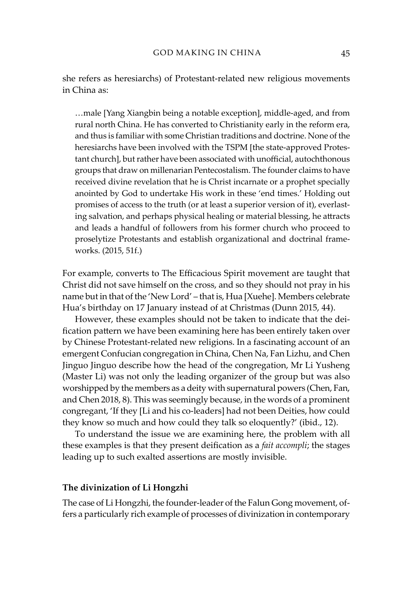she refers as heresiarchs) of Protestant-related new religious movements in China as:

…male [Yang Xiangbin being a notable exception], middle-aged, and from rural north China. He has converted to Christianity early in the reform era, and thus is familiar with some Christian traditions and doctrine. None of the heresiarchs have been involved with the TSPM [the state-approved Protestant church], but rather have been associated with unofficial, autochthonous groups that draw on millenarian Pentecostalism. The founder claims to have received divine revelation that he is Christ incarnate or a prophet specially anointed by God to undertake His work in these 'end times.' Holding out promises of access to the truth (or at least a superior version of it), everlasting salvation, and perhaps physical healing or material blessing, he attracts and leads a handful of followers from his former church who proceed to proselytize Protestants and establish organizational and doctrinal frameworks. (2015, 51f.)

For example, converts to The Efficacious Spirit movement are taught that Christ did not save himself on the cross, and so they should not pray in his name but in that of the 'New Lord' – that is, Hua [Xuehe]. Members celebrate Hua's birthday on 17 January instead of at Christmas (Dunn 2015, 44).

However, these examples should not be taken to indicate that the deification pattern we have been examining here has been entirely taken over by Chinese Protestant-related new religions. In a fascinating account of an emergent Confucian congregation in China, Chen Na, Fan Lizhu, and Chen Jinguo Jinguo describe how the head of the congregation, Mr Li Yusheng (Master Li) was not only the leading organizer of the group but was also worshipped by the members as a deity with supernatural powers (Chen, Fan, and Chen 2018, 8). This was seemingly because, in the words of a prominent congregant, 'If they [Li and his co-leaders] had not been Deities, how could they know so much and how could they talk so eloquently?' (ibid., 12).

To understand the issue we are examining here, the problem with all these examples is that they present deification as a *fait accompli*; the stages leading up to such exalted assertions are mostly invisible.

## **The divinization of Li Hongzhi**

The case of Li Hongzhi, the founder-leader of the Falun Gong movement, offers a particularly rich example of processes of divinization in contemporary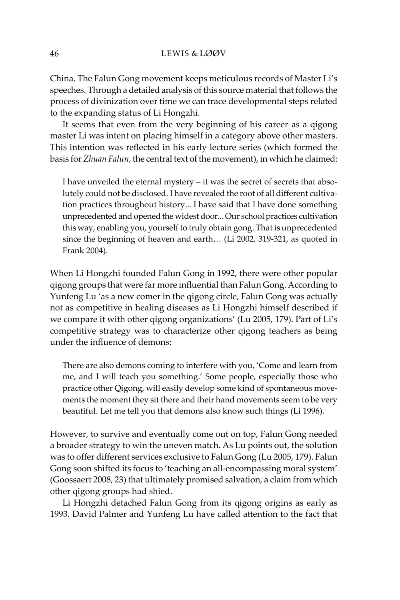China. The Falun Gong movement keeps meticulous records of Master Li's speeches. Through a detailed analysis of this source material that follows the process of divinization over time we can trace developmental steps related to the expanding status of Li Hongzhi.

It seems that even from the very beginning of his career as a qigong master Li was intent on placing himself in a category above other masters. This intention was reflected in his early lecture series (which formed the basis for *Zhuan Falun*, the central text of the movement), in which he claimed:

I have unveiled the eternal mystery – it was the secret of secrets that absolutely could not be disclosed. I have revealed the root of all different cultivation practices throughout history... I have said that I have done something unprecedented and opened the widest door... Our school practices cultivation this way, enabling you, yourself to truly obtain gong. That is unprecedented since the beginning of heaven and earth… (Li 2002, 319-321, as quoted in Frank 2004).

When Li Hongzhi founded Falun Gong in 1992, there were other popular qigong groups that were far more influential than Falun Gong. According to Yunfeng Lu 'as a new comer in the qigong circle, Falun Gong was actually not as competitive in healing diseases as Li Hongzhi himself described if we compare it with other qigong organizations' (Lu 2005, 179). Part of Li's competitive strategy was to characterize other qigong teachers as being under the influence of demons:

There are also demons coming to interfere with you, 'Come and learn from me, and I will teach you something.' Some people, especially those who practice other Qigong, will easily develop some kind of spontaneous movements the moment they sit there and their hand movements seem to be very beautiful. Let me tell you that demons also know such things (Li 1996).

However, to survive and eventually come out on top, Falun Gong needed a broader strategy to win the uneven match. As Lu points out, the solution was to offer different services exclusive to Falun Gong (Lu 2005, 179). Falun Gong soon shifted its focus to 'teaching an all-encompassing moral system' (Goossaert 2008, 23) that ultimately promised salvation, a claim from which other qigong groups had shied.

Li Hongzhi detached Falun Gong from its qigong origins as early as 1993. David Palmer and Yunfeng Lu have called attention to the fact that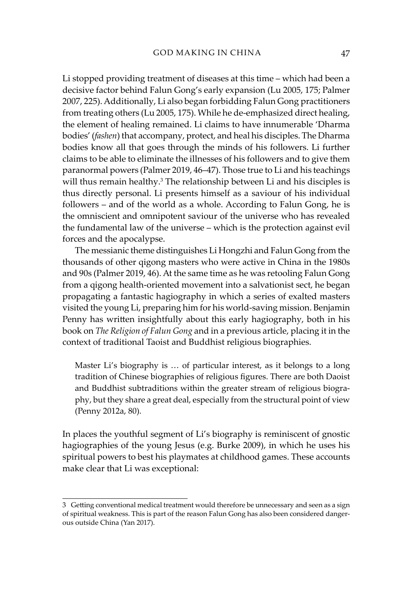Li stopped providing treatment of diseases at this time – which had been a decisive factor behind Falun Gong's early expansion (Lu 2005, 175; Palmer 2007, 225). Additionally, Li also began forbidding Falun Gong practitioners from treating others (Lu 2005, 175). While he de-emphasized direct healing, the element of healing remained. Li claims to have innumerable 'Dharma bodies' (*fashen*) that accompany, protect, and heal his disciples. The Dharma bodies know all that goes through the minds of his followers. Li further claims to be able to eliminate the illnesses of his followers and to give them paranormal powers (Palmer 2019, 46–47). Those true to Li and his teachings will thus remain healthy.<sup>3</sup> The relationship between Li and his disciples is thus directly personal. Li presents himself as a saviour of his individual followers – and of the world as a whole. According to Falun Gong, he is the omniscient and omnipotent saviour of the universe who has revealed the fundamental law of the universe – which is the protection against evil forces and the apocalypse.

The messianic theme distinguishes Li Hongzhi and Falun Gong from the thousands of other qigong masters who were active in China in the 1980s and 90s (Palmer 2019, 46). At the same time as he was retooling Falun Gong from a qigong health-oriented movement into a salvationist sect, he began propagating a fantastic hagiography in which a series of exalted masters visited the young Li, preparing him for his world-saving mission. Benjamin Penny has written insightfully about this early hagiography, both in his book on *The Religion of Falun Gong* and in a previous article, placing it in the context of traditional Taoist and Buddhist religious biographies.

Master Li's biography is … of particular interest, as it belongs to a long tradition of Chinese biographies of religious figures. There are both Daoist and Buddhist subtraditions within the greater stream of religious biography, but they share a great deal, especially from the structural point of view (Penny 2012a, 80).

In places the youthful segment of Li's biography is reminiscent of gnostic hagiographies of the young Jesus (e.g. Burke 2009), in which he uses his spiritual powers to best his playmates at childhood games. These accounts make clear that Li was exceptional:

<sup>3</sup> Getting conventional medical treatment would therefore be unnecessary and seen as a sign of spiritual weakness. This is part of the reason Falun Gong has also been considered dangerous outside China (Yan 2017).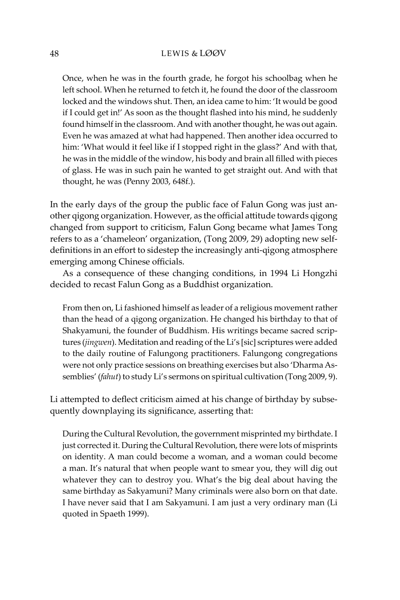Once, when he was in the fourth grade, he forgot his schoolbag when he left school. When he returned to fetch it, he found the door of the classroom locked and the windows shut. Then, an idea came to him: 'It would be good if I could get in!' As soon as the thought flashed into his mind, he suddenly found himself in the classroom. And with another thought, he was out again. Even he was amazed at what had happened. Then another idea occurred to him: 'What would it feel like if I stopped right in the glass?' And with that, he was in the middle of the window, his body and brain all filled with pieces of glass. He was in such pain he wanted to get straight out. And with that thought, he was (Penny 2003, 648f.).

In the early days of the group the public face of Falun Gong was just another qigong organization. However, as the official attitude towards qigong changed from support to criticism, Falun Gong became what James Tong refers to as a 'chameleon' organization, (Tong 2009, 29) adopting new selfdefinitions in an effort to sidestep the increasingly anti-qigong atmosphere emerging among Chinese officials.

As a consequence of these changing conditions, in 1994 Li Hongzhi decided to recast Falun Gong as a Buddhist organization.

From then on, Li fashioned himself as leader of a religious movement rather than the head of a qigong organization. He changed his birthday to that of Shakyamuni, the founder of Buddhism. His writings became sacred scriptures (*jingwen*). Meditation and reading of the Li's [sic] scriptures were added to the daily routine of Falungong practitioners. Falungong congregations were not only practice sessions on breathing exercises but also 'Dharma Assemblies' (*fahut*) to study Li's sermons on spiritual cultivation (Tong 2009, 9).

Li attempted to deflect criticism aimed at his change of birthday by subsequently downplaying its significance, asserting that:

During the Cultural Revolution, the government misprinted my birthdate. I just corrected it. During the Cultural Revolution, there were lots of misprints on identity. A man could become a woman, and a woman could become a man. It's natural that when people want to smear you, they will dig out whatever they can to destroy you. What's the big deal about having the same birthday as Sakyamuni? Many criminals were also born on that date. I have never said that I am Sakyamuni. I am just a very ordinary man (Li quoted in Spaeth 1999).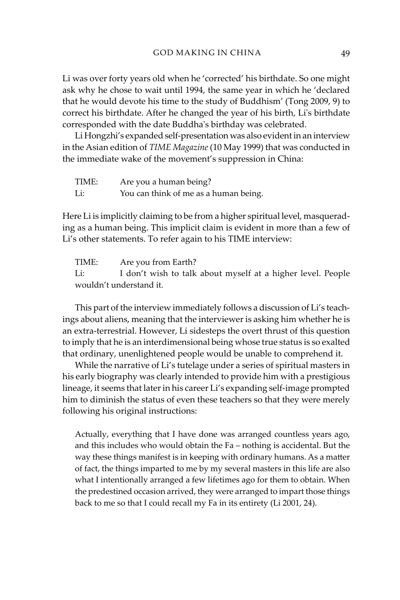Li was over forty years old when he 'corrected' his birthdate. So one might ask why he chose to wait until 1994, the same year in which he 'declared that he would devote his time to the study of Buddhism' (Tong 2009, 9) to correct his birthdate. After he changed the year of his birth, Li's birthdate corresponded with the date Buddha's birthday was celebrated.

Li Hongzhi's expanded self-presentation was also evident in an interview in the Asian edition of *TIME Magazine* (10 May 1999) that was conducted in the immediate wake of the movement's suppression in China:

| TIME: | Are you a human being?                |
|-------|---------------------------------------|
| Li:   | You can think of me as a human being. |

Here Li is implicitly claiming to be from a higher spiritual level, masquerading as a human being. This implicit claim is evident in more than a few of Li's other statements. To refer again to his TIME interview:

TIME: Are you from Earth? Li: I don't wish to talk about myself at a higher level. People wouldn't understand it.

This part of the interview immediately follows a discussion of Li's teachings about aliens, meaning that the interviewer is asking him whether he is an extra-terrestrial. However, Li sidesteps the overt thrust of this question to imply that he is an interdimensional being whose true status is so exalted that ordinary, unenlightened people would be unable to comprehend it.

While the narrative of Li's tutelage under a series of spiritual masters in his early biography was clearly intended to provide him with a prestigious lineage, it seems that later in his career Li's expanding self-image prompted him to diminish the status of even these teachers so that they were merely following his original instructions:

Actually, everything that I have done was arranged countless years ago, and this includes who would obtain the Fa – nothing is accidental. But the way these things manifest is in keeping with ordinary humans. As a matter of fact, the things imparted to me by my several masters in this life are also what I intentionally arranged a few lifetimes ago for them to obtain. When the predestined occasion arrived, they were arranged to impart those things back to me so that I could recall my Fa in its entirety (Li 2001, 24).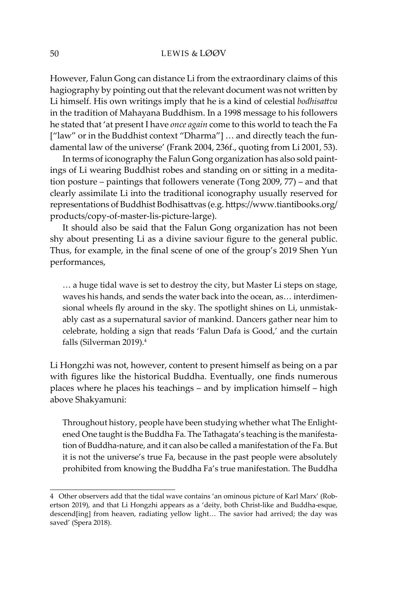However, Falun Gong can distance Li from the extraordinary claims of this hagiography by pointing out that the relevant document was not written by Li himself. His own writings imply that he is a kind of celestial *bodhisattva*  in the tradition of Mahayana Buddhism. In a 1998 message to his followers he stated that 'at present I have *once again* come to this world to teach the Fa ["law" or in the Buddhist context "Dharma"] … and directly teach the fundamental law of the universe' (Frank 2004, 236f., quoting from Li 2001, 53).

In terms of iconography the Falun Gong organization has also sold paintings of Li wearing Buddhist robes and standing on or sitting in a meditation posture – paintings that followers venerate (Tong 2009, 77) – and that clearly assimilate Li into the traditional iconography usually reserved for representations of Buddhist Bodhisattvas (e.g. https://www.tiantibooks.org/ products/copy-of-master-lis-picture-large).

It should also be said that the Falun Gong organization has not been shy about presenting Li as a divine saviour figure to the general public. Thus, for example, in the final scene of one of the group's 2019 Shen Yun performances,

… a huge tidal wave is set to destroy the city, but Master Li steps on stage, waves his hands, and sends the water back into the ocean, as… interdimensional wheels fly around in the sky. The spotlight shines on Li, unmistakably cast as a supernatural savior of mankind. Dancers gather near him to celebrate, holding a sign that reads 'Falun Dafa is Good,' and the curtain falls (Silverman 2019).4

Li Hongzhi was not, however, content to present himself as being on a par with figures like the historical Buddha. Eventually, one finds numerous places where he places his teachings – and by implication himself – high above Shakyamuni:

Throughout history, people have been studying whether what The Enlightened One taught is the Buddha Fa. The Tathagata's teaching is the manifestation of Buddha-nature, and it can also be called a manifestation of the Fa. But it is not the universe's true Fa, because in the past people were absolutely prohibited from knowing the Buddha Fa's true manifestation. The Buddha

<sup>4</sup> Other observers add that the tidal wave contains 'an ominous picture of Karl Marx' (Robertson 2019), and that Li Hongzhi appears as a 'deity, both Christ-like and Buddha-esque, descend[ing] from heaven, radiating yellow light… The savior had arrived; the day was saved' (Spera 2018).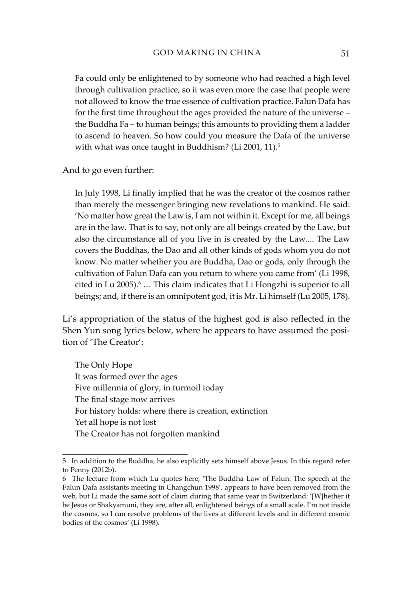Fa could only be enlightened to by someone who had reached a high level through cultivation practice, so it was even more the case that people were not allowed to know the true essence of cultivation practice. Falun Dafa has for the first time throughout the ages provided the nature of the universe – the Buddha Fa – to human beings; this amounts to providing them a ladder to ascend to heaven. So how could you measure the Dafa of the universe with what was once taught in Buddhism? (Li 2001, 11).<sup>5</sup>

And to go even further:

In July 1998, Li finally implied that he was the creator of the cosmos rather than merely the messenger bringing new revelations to mankind. He said: 'No matter how great the Law is, I am not within it. Except for me, all beings are in the law. That is to say, not only are all beings created by the Law, but also the circumstance all of you live in is created by the Law.... The Law covers the Buddhas, the Dao and all other kinds of gods whom you do not know. No matter whether you are Buddha, Dao or gods, only through the cultivation of Falun Dafa can you return to where you came from' (Li 1998, cited in Lu 2005).<sup>6</sup> ... This claim indicates that Li Hongzhi is superior to all beings; and, if there is an omnipotent god, it is Mr. Li himself (Lu 2005, 178).

Li's appropriation of the status of the highest god is also reflected in the Shen Yun song lyrics below, where he appears to have assumed the position of 'The Creator':

The Only Hope It was formed over the ages Five millennia of glory, in turmoil today The final stage now arrives For history holds: where there is creation, extinction Yet all hope is not lost The Creator has not forgotten mankind

<sup>5</sup> In addition to the Buddha, he also explicitly sets himself above Jesus. In this regard refer to Penny (2012b).

<sup>6</sup> The lecture from which Lu quotes here, 'The Buddha Law of Falun: The speech at the Falun Dafa assistants meeting in Changchun 1998', appears to have been removed from the web, but Li made the same sort of claim during that same year in Switzerland: '[W]hether it be Jesus or Shakyamuni, they are, after all, enlightened beings of a small scale. I'm not inside the cosmos, so I can resolve problems of the lives at different levels and in different cosmic bodies of the cosmos' (Li 1998).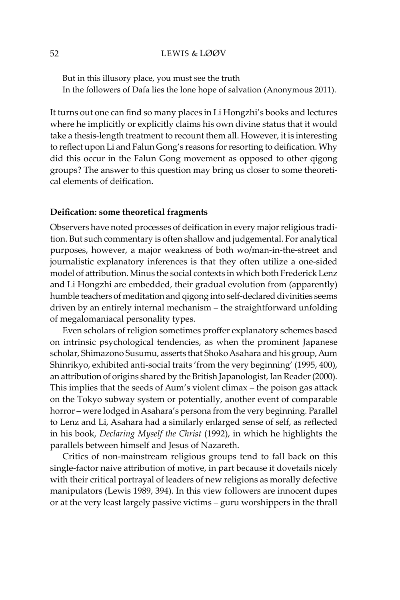But in this illusory place, you must see the truth In the followers of Dafa lies the lone hope of salvation (Anonymous 2011).

It turns out one can find so many places in Li Hongzhi's books and lectures where he implicitly or explicitly claims his own divine status that it would take a thesis-length treatment to recount them all. However, it is interesting to reflect upon Li and Falun Gong's reasons for resorting to deification. Why did this occur in the Falun Gong movement as opposed to other qigong groups? The answer to this question may bring us closer to some theoretical elements of deification.

#### **Deification: some theoretical fragments**

Observers have noted processes of deification in every major religious tradition. But such commentary is often shallow and judgemental. For analytical purposes, however, a major weakness of both wo/man-in-the-street and journalistic explanatory inferences is that they often utilize a one-sided model of attribution. Minus the social contexts in which both Frederick Lenz and Li Hongzhi are embedded, their gradual evolution from (apparently) humble teachers of meditation and qigong into self-declared divinities seems driven by an entirely internal mechanism – the straightforward unfolding of megalomaniacal personality types.

Even scholars of religion sometimes proffer explanatory schemes based on intrinsic psychological tendencies, as when the prominent Japanese scholar, Shimazono Susumu, asserts that Shoko Asahara and his group, Aum Shinrikyo, exhibited anti-social traits 'from the very beginning' (1995, 400), an attribution of origins shared by the British Japanologist, Ian Reader (2000). This implies that the seeds of Aum's violent climax – the poison gas attack on the Tokyo subway system or potentially, another event of comparable horror – were lodged in Asahara's persona from the very beginning. Parallel to Lenz and Li, Asahara had a similarly enlarged sense of self, as reflected in his book, *Declaring Myself the Christ* (1992), in which he highlights the parallels between himself and Jesus of Nazareth.

Critics of non-mainstream religious groups tend to fall back on this single-factor naive attribution of motive, in part because it dovetails nicely with their critical portrayal of leaders of new religions as morally defective manipulators (Lewis 1989, 394). In this view followers are innocent dupes or at the very least largely passive victims – guru worshippers in the thrall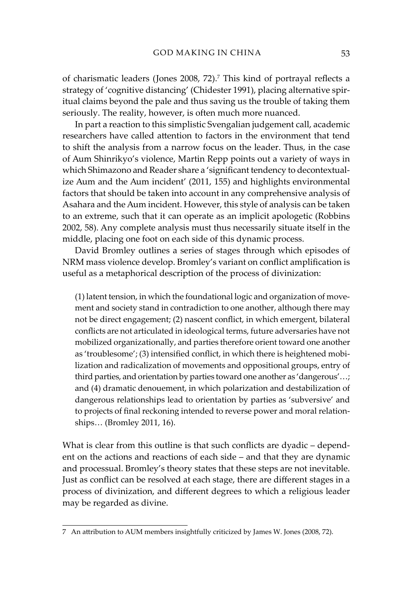of charismatic leaders (Jones 2008, 72).7 This kind of portrayal reflects a strategy of 'cognitive distancing' (Chidester 1991), placing alternative spiritual claims beyond the pale and thus saving us the trouble of taking them seriously. The reality, however, is often much more nuanced.

In part a reaction to this simplistic Svengalian judgement call, academic researchers have called attention to factors in the environment that tend to shift the analysis from a narrow focus on the leader. Thus, in the case of Aum Shinrikyo's violence, Martin Repp points out a variety of ways in which Shimazono and Reader share a 'significant tendency to decontextualize Aum and the Aum incident' (2011, 155) and highlights environmental factors that should be taken into account in any comprehensive analysis of Asahara and the Aum incident. However, this style of analysis can be taken to an extreme, such that it can operate as an implicit apologetic (Robbins 2002, 58). Any complete analysis must thus necessarily situate itself in the middle, placing one foot on each side of this dynamic process.

David Bromley outlines a series of stages through which episodes of NRM mass violence develop. Bromley's variant on conflict amplification is useful as a metaphorical description of the process of divinization:

(1) latent tension, in which the foundational logic and organization of movement and society stand in contradiction to one another, although there may not be direct engagement; (2) nascent conflict, in which emergent, bilateral conflicts are not articulated in ideological terms, future adversaries have not mobilized organizationally, and parties therefore orient toward one another as 'troublesome'; (3) intensified conflict, in which there is heightened mobilization and radicalization of movements and oppositional groups, entry of third parties, and orientation by parties toward one another as 'dangerous'…; and (4) dramatic denouement, in which polarization and destabilization of dangerous relationships lead to orientation by parties as 'subversive' and to projects of final reckoning intended to reverse power and moral relationships… (Bromley 2011, 16).

What is clear from this outline is that such conflicts are dyadic – dependent on the actions and reactions of each side – and that they are dynamic and processual. Bromley's theory states that these steps are not inevitable. Just as conflict can be resolved at each stage, there are different stages in a process of divinization, and different degrees to which a religious leader may be regarded as divine.

<sup>7</sup> An attribution to AUM members insightfully criticized by James W. Jones (2008, 72).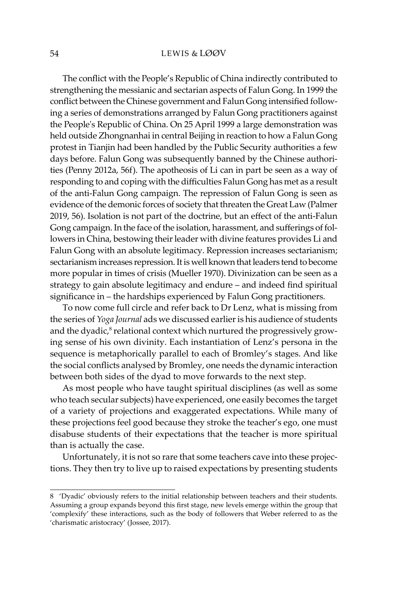The conflict with the People's Republic of China indirectly contributed to strengthening the messianic and sectarian aspects of Falun Gong. In 1999 the conflict between the Chinese government and Falun Gong intensified following a series of demonstrations arranged by Falun Gong practitioners against the People's Republic of China. On 25 April 1999 a large demonstration was held outside Zhongnanhai in central Beijing in reaction to how a Falun Gong protest in Tianjin had been handled by the Public Security authorities a few days before. Falun Gong was subsequently banned by the Chinese authorities (Penny 2012a, 56f). The apotheosis of Li can in part be seen as a way of responding to and coping with the difficulties Falun Gong has met as a result of the anti-Falun Gong campaign. The repression of Falun Gong is seen as evidence of the demonic forces of society that threaten the Great Law (Palmer 2019, 56). Isolation is not part of the doctrine, but an effect of the anti-Falun Gong campaign. In the face of the isolation, harassment, and sufferings of followers in China, bestowing their leader with divine features provides Li and Falun Gong with an absolute legitimacy. Repression increases sectarianism; sectarianism increases repression. It is well known that leaders tend to become more popular in times of crisis (Mueller 1970). Divinization can be seen as a strategy to gain absolute legitimacy and endure – and indeed find spiritual significance in – the hardships experienced by Falun Gong practitioners.

To now come full circle and refer back to Dr Lenz, what is missing from the series of *Yoga Journal* ads we discussed earlier is his audience of students and the dyadic, $^8$  relational context which nurtured the progressively growing sense of his own divinity. Each instantiation of Lenz's persona in the sequence is metaphorically parallel to each of Bromley's stages. And like the social conflicts analysed by Bromley, one needs the dynamic interaction between both sides of the dyad to move forwards to the next step.

As most people who have taught spiritual disciplines (as well as some who teach secular subjects) have experienced, one easily becomes the target of a variety of projections and exaggerated expectations. While many of these projections feel good because they stroke the teacher's ego, one must disabuse students of their expectations that the teacher is more spiritual than is actually the case.

Unfortunately, it is not so rare that some teachers cave into these projections. They then try to live up to raised expectations by presenting students

<sup>8 &#</sup>x27;Dyadic' obviously refers to the initial relationship between teachers and their students. Assuming a group expands beyond this first stage, new levels emerge within the group that 'complexify' these interactions, such as the body of followers that Weber referred to as the 'charismatic aristocracy' (Jossee, 2017).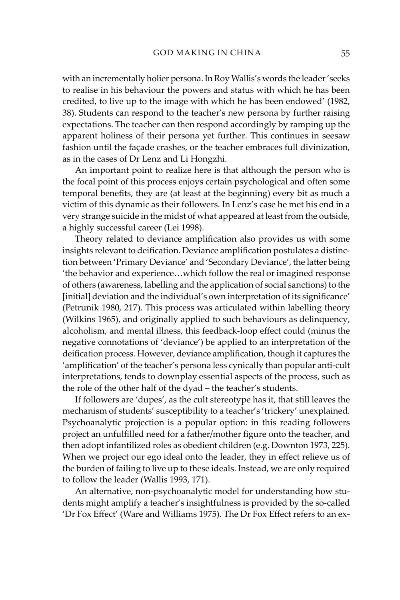with an incrementally holier persona. In Roy Wallis's words the leader 'seeks to realise in his behaviour the powers and status with which he has been credited, to live up to the image with which he has been endowed' (1982, 38). Students can respond to the teacher's new persona by further raising expectations. The teacher can then respond accordingly by ramping up the apparent holiness of their persona yet further. This continues in seesaw fashion until the façade crashes, or the teacher embraces full divinization, as in the cases of Dr Lenz and Li Hongzhi.

An important point to realize here is that although the person who is the focal point of this process enjoys certain psychological and often some temporal benefits, they are (at least at the beginning) every bit as much a victim of this dynamic as their followers. In Lenz's case he met his end in a very strange suicide in the midst of what appeared at least from the outside, a highly successful career (Lei 1998).

Theory related to deviance amplification also provides us with some insights relevant to deification. Deviance amplification postulates a distinction between 'Primary Deviance' and 'Secondary Deviance', the latter being 'the behavior and experience…which follow the real or imagined response of others (awareness, labelling and the application of social sanctions) to the [initial] deviation and the individual's own interpretation of its significance' (Petrunik 1980, 217). This process was articulated within labelling theory (Wilkins 1965), and originally applied to such behaviours as delinquency, alcoholism, and mental illness, this feedback-loop effect could (minus the negative connotations of 'deviance') be applied to an interpretation of the deification process. However, deviance amplification, though it captures the 'amplification' of the teacher's persona less cynically than popular anti-cult interpretations, tends to downplay essential aspects of the process, such as the role of the other half of the dyad – the teacher's students.

If followers are 'dupes', as the cult stereotype has it, that still leaves the mechanism of students' susceptibility to a teacher's 'trickery' unexplained. Psychoanalytic projection is a popular option: in this reading followers project an unfulfilled need for a father/mother figure onto the teacher, and then adopt infantilized roles as obedient children (e.g. Downton 1973, 225). When we project our ego ideal onto the leader, they in effect relieve us of the burden of failing to live up to these ideals. Instead, we are only required to follow the leader (Wallis 1993, 171).

An alternative, non-psychoanalytic model for understanding how students might amplify a teacher's insightfulness is provided by the so-called 'Dr Fox Effect' (Ware and Williams 1975). The Dr Fox Effect refers to an ex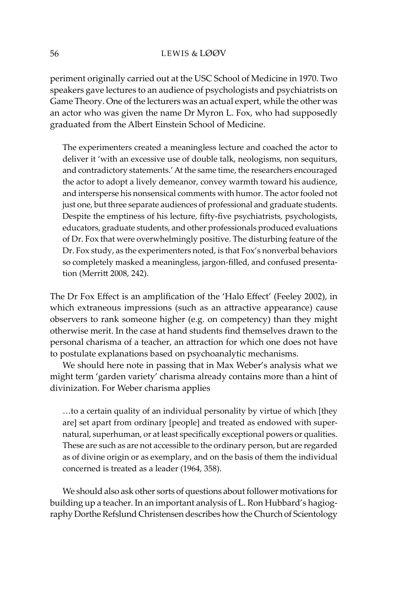periment originally carried out at the USC School of Medicine in 1970. Two speakers gave lectures to an audience of psychologists and psychiatrists on Game Theory. One of the lecturers was an actual expert, while the other was an actor who was given the name Dr Myron L. Fox, who had supposedly graduated from the Albert Einstein School of Medicine.

The experimenters created a meaningless lecture and coached the actor to deliver it 'with an excessive use of double talk, neologisms, non sequiturs, and contradictory statements.' At the same time, the researchers encouraged the actor to adopt a lively demeanor, convey warmth toward his audience, and intersperse his nonsensical comments with humor. The actor fooled not just one, but three separate audiences of professional and graduate students. Despite the emptiness of his lecture, fifty-five psychiatrists, psychologists, educators, graduate students, and other professionals produced evaluations of Dr. Fox that were overwhelmingly positive. The disturbing feature of the Dr. Fox study, as the experimenters noted, is that Fox's nonverbal behaviors so completely masked a meaningless, jargon-filled, and confused presentation (Merritt 2008, 242).

The Dr Fox Effect is an amplification of the 'Halo Effect' (Feeley 2002), in which extraneous impressions (such as an attractive appearance) cause observers to rank someone higher (e.g. on competency) than they might otherwise merit. In the case at hand students find themselves drawn to the personal charisma of a teacher, an attraction for which one does not have to postulate explanations based on psychoanalytic mechanisms.

We should here note in passing that in Max Weber's analysis what we might term 'garden variety' charisma already contains more than a hint of divinization. For Weber charisma applies

…to a certain quality of an individual personality by virtue of which [they are] set apart from ordinary [people] and treated as endowed with supernatural, superhuman, or at least specifically exceptional powers or qualities. These are such as are not accessible to the ordinary person, but are regarded as of divine origin or as exemplary, and on the basis of them the individual concerned is treated as a leader (1964, 358).

We should also ask other sorts of questions about follower motivations for building up a teacher. In an important analysis of L. Ron Hubbard's hagiography Dorthe Refslund Christensen describes how the Church of Scientology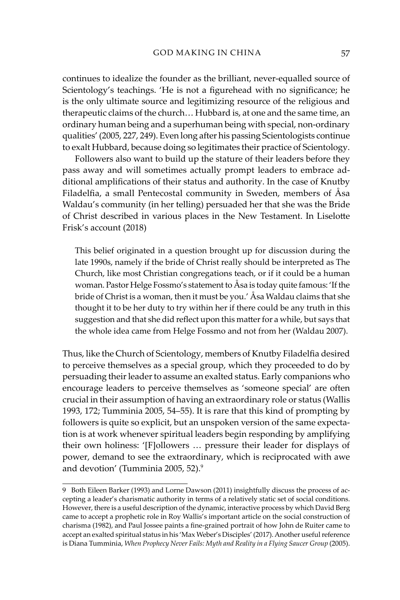continues to idealize the founder as the brilliant, never-equalled source of Scientology's teachings. 'He is not a figurehead with no significance; he is the only ultimate source and legitimizing resource of the religious and therapeutic claims of the church… Hubbard is, at one and the same time, an ordinary human being and a superhuman being with special, non-ordinary qualities' (2005, 227, 249). Even long after his passing Scientologists continue to exalt Hubbard, because doing so legitimates their practice of Scientology.

Followers also want to build up the stature of their leaders before they pass away and will sometimes actually prompt leaders to embrace additional amplifications of their status and authority. In the case of Knutby Filadelfia, a small Pentecostal community in Sweden, members of Åsa Waldau's community (in her telling) persuaded her that she was the Bride of Christ described in various places in the New Testament. In Liselotte Frisk's account (2018)

This belief originated in a question brought up for discussion during the late 1990s, namely if the bride of Christ really should be interpreted as The Church, like most Christian congregations teach, or if it could be a human woman. Pastor Helge Fossmo's statement to Åsa is today quite famous: 'If the bride of Christ is a woman, then it must be you.' Åsa Waldau claims that she thought it to be her duty to try within her if there could be any truth in this suggestion and that she did reflect upon this matter for a while, but says that the whole idea came from Helge Fossmo and not from her (Waldau 2007).

Thus, like the Church of Scientology, members of Knutby Filadelfia desired to perceive themselves as a special group, which they proceeded to do by persuading their leader to assume an exalted status. Early companions who encourage leaders to perceive themselves as 'someone special' are often crucial in their assumption of having an extraordinary role or status (Wallis 1993, 172; Tumminia 2005, 54–55). It is rare that this kind of prompting by followers is quite so explicit, but an unspoken version of the same expectation is at work whenever spiritual leaders begin responding by amplifying their own holiness: '[F]ollowers … pressure their leader for displays of power, demand to see the extraordinary, which is reciprocated with awe and devotion' (Tumminia 2005, 52).<sup>9</sup>

<sup>9</sup> Both Eileen Barker (1993) and Lorne Dawson (2011) insightfully discuss the process of accepting a leader's charismatic authority in terms of a relatively static set of social conditions. However, there is a useful description of the dynamic, interactive process by which David Berg came to accept a prophetic role in Roy Wallis's important article on the social construction of charisma (1982), and Paul Jossee paints a fine-grained portrait of how John de Ruiter came to accept an exalted spiritual status in his 'Max Weber's Disciples' (2017). Another useful reference is Diana Tumminia, *When Prophecy Never Fails: Myth and Reality in a Flying Saucer Group* (2005).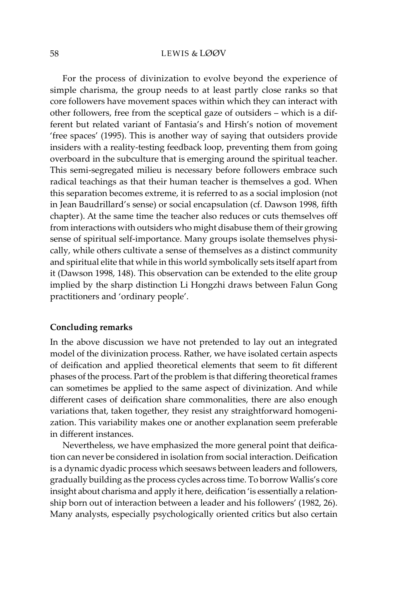For the process of divinization to evolve beyond the experience of simple charisma, the group needs to at least partly close ranks so that core followers have movement spaces within which they can interact with other followers, free from the sceptical gaze of outsiders – which is a different but related variant of Fantasia's and Hirsh's notion of movement 'free spaces' (1995). This is another way of saying that outsiders provide insiders with a reality-testing feedback loop, preventing them from going overboard in the subculture that is emerging around the spiritual teacher. This semi-segregated milieu is necessary before followers embrace such radical teachings as that their human teacher is themselves a god. When this separation becomes extreme, it is referred to as a social implosion (not in Jean Baudrillard's sense) or social encapsulation (cf. Dawson 1998, fifth chapter). At the same time the teacher also reduces or cuts themselves off from interactions with outsiders who might disabuse them of their growing sense of spiritual self-importance. Many groups isolate themselves physically, while others cultivate a sense of themselves as a distinct community and spiritual elite that while in this world symbolically sets itself apart from it (Dawson 1998, 148). This observation can be extended to the elite group implied by the sharp distinction Li Hongzhi draws between Falun Gong practitioners and 'ordinary people'.

#### **Concluding remarks**

In the above discussion we have not pretended to lay out an integrated model of the divinization process. Rather, we have isolated certain aspects of deification and applied theoretical elements that seem to fit different phases of the process. Part of the problem is that differing theoretical frames can sometimes be applied to the same aspect of divinization. And while different cases of deification share commonalities, there are also enough variations that, taken together, they resist any straightforward homogenization. This variability makes one or another explanation seem preferable in different instances.

Nevertheless, we have emphasized the more general point that deification can never be considered in isolation from social interaction. Deification is a dynamic dyadic process which seesaws between leaders and followers, gradually building as the process cycles across time. To borrow Wallis's core insight about charisma and apply it here, deification 'is essentially a relationship born out of interaction between a leader and his followers' (1982, 26). Many analysts, especially psychologically oriented critics but also certain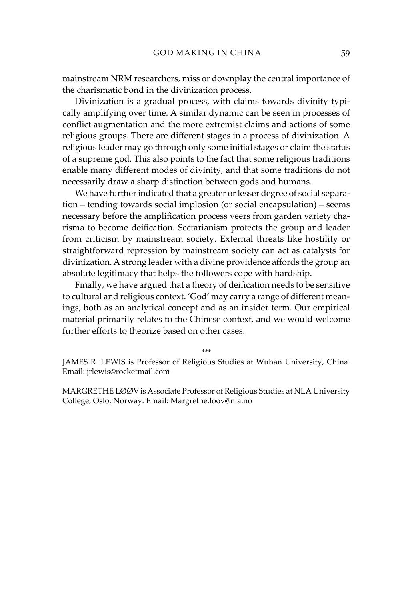mainstream NRM researchers, miss or downplay the central importance of the charismatic bond in the divinization process.

Divinization is a gradual process, with claims towards divinity typically amplifying over time. A similar dynamic can be seen in processes of conflict augmentation and the more extremist claims and actions of some religious groups. There are different stages in a process of divinization. A religious leader may go through only some initial stages or claim the status of a supreme god. This also points to the fact that some religious traditions enable many different modes of divinity, and that some traditions do not necessarily draw a sharp distinction between gods and humans.

We have further indicated that a greater or lesser degree of social separation – tending towards social implosion (or social encapsulation) – seems necessary before the amplification process veers from garden variety charisma to become deification. Sectarianism protects the group and leader from criticism by mainstream society. External threats like hostility or straightforward repression by mainstream society can act as catalysts for divinization. A strong leader with a divine providence affords the group an absolute legitimacy that helps the followers cope with hardship.

Finally, we have argued that a theory of deification needs to be sensitive to cultural and religious context. 'God' may carry a range of different meanings, both as an analytical concept and as an insider term. Our empirical material primarily relates to the Chinese context, and we would welcome further efforts to theorize based on other cases.

\*\*\*

JAMES R. LEWIS is Professor of Religious Studies at Wuhan University, China. Email: jrlewis@rocketmail.com

MARGRETHE LØØV is Associate Professor of Religious Studies at NLA University College, Oslo, Norway. Email: Margrethe.loov@nla.no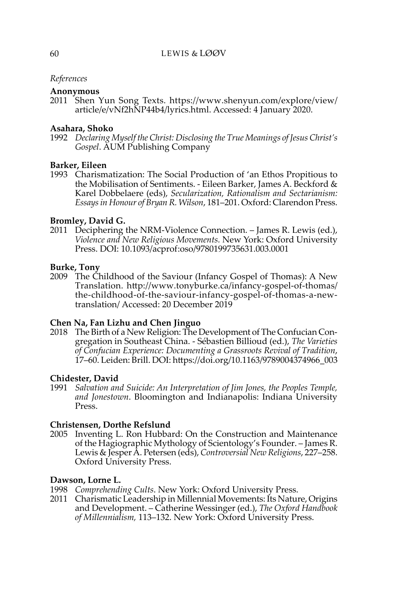# *References*

#### **Anonymous**

2011 Shen Yun Song Texts. https://www.shenyun.com/explore/view/ article/e/vNf2hNP44b4/lyrics.html. Accessed: 4 January 2020.

## **Asahara, Shoko**

1992 *Declaring Myself the Christ: Disclosing the True Meanings of Jesus Christ's Gospel*. AUM Publishing Company

#### **Barker, Eileen**

1993 Charismatization: The Social Production of 'an Ethos Propitious to the Mobilisation of Sentiments. - Eileen Barker, James A. Beckford & Karel Dobbelaere (eds), *Secularization, Rationalism and Sectarianism: Essays in Honour of Bryan R. Wilson*, 181–201. Oxford: Clarendon Press.

## **Bromley, David G.**

2011 Deciphering the NRM-Violence Connection. – James R. Lewis (ed.), *Violence and New Religious Movements.* New York: Oxford University Press. DOI: 10.1093/acprof:oso/9780199735631.003.0001

#### **Burke, Tony**

2009 The Childhood of the Saviour (Infancy Gospel of Thomas): A New Translation. http://www.tonyburke.ca/infancy-gospel-of-thomas/ the-childhood-of-the-saviour-infancy-gospel-of-thomas-a-newtranslation/ Accessed: 20 December 2019

## **Chen Na, Fan Lizhu and Chen Jinguo**

2018 The Birth of a New Religion: The Development of The Confucian Congregation in Southeast China. - Sébastien Billioud (ed.), *The Varieties of Confucian Experience: Documenting a Grassroots Revival of Tradition*, 17–60. Leiden: Brill. DOI: https://doi.org/10.1163/9789004374966\_003

#### **Chidester, David**

1991 *Salvation and Suicide: An Interpretation of Jim Jones, the Peoples Temple, and Jonestown*. Bloomington and Indianapolis: Indiana University Press.

#### **Christensen, Dorthe Refslund**

2005 Inventing L. Ron Hubbard: On the Construction and Maintenance of the Hagiographic Mythology of Scientology's Founder. – James R. Lewis & Jesper A. Petersen (eds), *Controversial New Religions*, 227–258. Oxford University Press.

#### **Dawson, Lorne L.**

- 1998 *Comprehending Cults*. New York: Oxford University Press.
- 2011 Charismatic Leadership in Millennial Movements: Its Nature, Origins and Development. – Catherine Wessinger (ed.), *The Oxford Handbook of Millennialism,* 113–132. New York: Oxford University Press.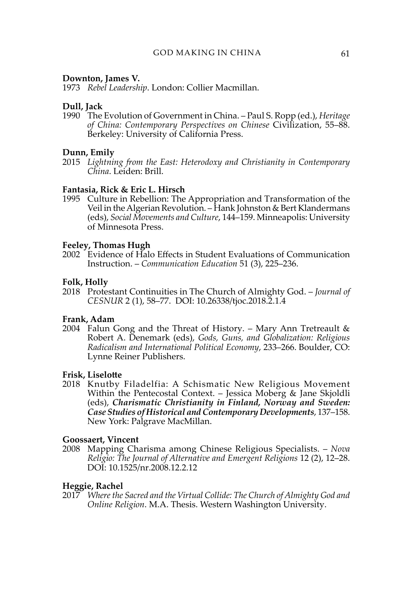#### **Downton, James V.**

1973 *Rebel Leadership*. London: Collier Macmillan.

#### **Dull, Jack**

1990 The Evolution of Government in China. – Paul S. Ropp (ed.), *Heritage of China: Contemporary Perspectives on Chinese* Civilization, 55–88. Berkeley: University of California Press.

#### **Dunn, Emily**

2015 *Lightning from the East: Heterodoxy and Christianity in Contemporary China*. Leiden: Brill.

#### **Fantasia, Rick & Eric L. Hirsch**

1995 Culture in Rebellion: The Appropriation and Transformation of the Veil in the Algerian Revolution. – Hank Johnston & Bert Klandermans (eds), *Social Movements and Culture*, 144–159. Minneapolis: University of Minnesota Press.

#### **Feeley, Thomas Hugh**

2002 Evidence of Halo Effects in Student Evaluations of Communication Instruction. – *Communication Education* 51 (3), 225–236.

#### **Folk, Holly**

2018 Protestant Continuities in The Church of Almighty God. – *Journal of CESNUR* 2 (1), 58–77. DOI: 10.26338/tjoc.2018.2.1.4

#### **Frank, Adam**

2004 Falun Gong and the Threat of History. – Mary Ann Tretreault  $\&$ Robert A. Denemark (eds), *Gods, Guns, and Globalization: Religious Radicalism and International Political Economy*, 233–266. Boulder, CO: Lynne Reiner Publishers.

#### **Frisk, Liselotte**

2018 Knutby Filadelfia: A Schismatic New Religious Movement Within the Pentecostal Context. – Jessica Moberg & Jane Skjoldli (eds), *Charismatic Christianity in Finland, Norway and Sweden: Case Studies of Historical and Contemporary Developments*, 137–158. New York: Palgrave MacMillan.

# **Goossaert, Vincent**

2008 Mapping Charisma among Chinese Religious Specialists. – *Nova Religio: The Journal of Alternative and Emergent Religions* 12 (2), 12–28. DOI: 10.1525/nr.2008.12.2.12

#### **Heggie, Rachel**

2017 *Where the Sacred and the Virtual Collide: The Church of Almighty God and Online Religion*. M.A. Thesis. Western Washington University.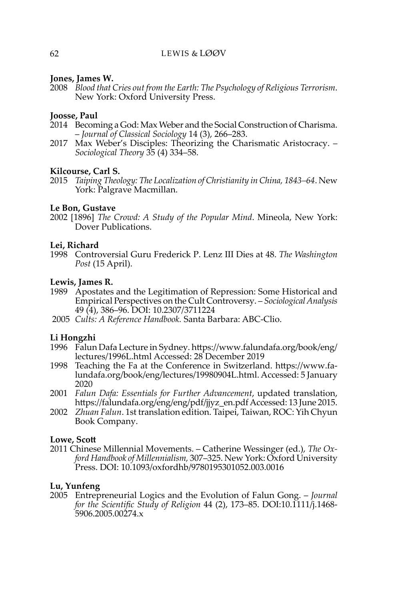# **Jones, James W.**

2008 *Blood that Cries out from the Earth: The Psychology of Religious Terrorism*. New York: Oxford University Press.

# **Joosse, Paul**

- 2014 Becoming a God: Max Weber and the Social Construction of Charisma. – *Journal of Classical Sociology* 14 (3), 266–283.
- 2017 Max Weber's Disciples: Theorizing the Charismatic Aristocracy. *Sociological Theory* 35 (4) 334–58.

## **Kilcourse, Carl S.**

2015 *Taiping Theology: The Localization of Christianity in China, 1843–64*. New York: Palgrave Macmillan.

# **Le Bon, Gustave**

2002 [1896] *The Crowd: A Study of the Popular Mind*. Mineola, New York: Dover Publications.

# **Lei, Richard**

1998 Controversial Guru Frederick P. Lenz III Dies at 48. *The Washington Post* (15 April).

## **Lewis, James R.**

- 1989 Apostates and the Legitimation of Repression: Some Historical and Empirical Perspectives on the Cult Controversy. – *Sociological Analysis* 49 (4), 386–96. DOI: 10.2307/3711224
- 2005 *Cults: A Reference Handbook.* Santa Barbara: ABC-Clio.

## **Li Hongzhi**

- 1996 Falun Dafa Lecture in Sydney. https://www.falundafa.org/book/eng/ lectures/1996L.html Accessed: 28 December 2019
- 1998 Teaching the Fa at the Conference in Switzerland. https://www.falundafa.org/book/eng/lectures/19980904L.html. Accessed: 5 January 2020
- 2001 *Falun Dafa: Essentials for Further Advancement*, updated translation, https://falundafa.org/eng/eng/pdf/jjyz\_en.pdf Accessed: 13 June 2015.
- 2002 *Zhuan Falun*. 1st translation edition. Taipei, Taiwan, ROC: Yih Chyun Book Company.

## **Lowe, Scott**

2011 Chinese Millennial Movements. – Catherine Wessinger (ed.), *The Oxford Handbook of Millennialism,* 307–325. New York: Oxford University Press. DOI: 10.1093/oxfordhb/9780195301052.003.0016

# **Lu, Yunfeng**

2005 Entrepreneurial Logics and the Evolution of Falun Gong. – *Journal for the Scientific Study of Religion* 44 (2), 173–85. DOI:10.1111/j.1468- 5906.2005.00274.x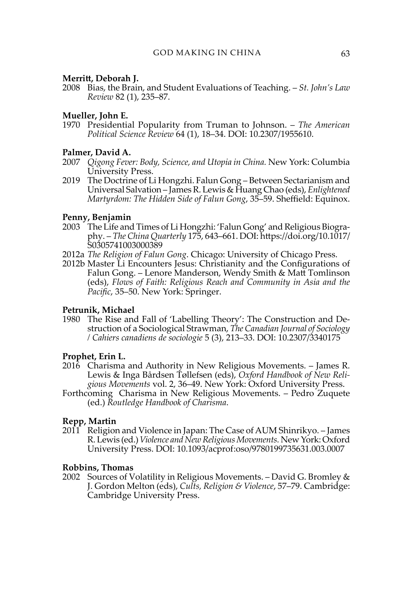# **Merritt, Deborah J.**

2008 Bias, the Brain, and Student Evaluations of Teaching. – *St. John's Law Review* 82 (1), 235–87.

# **Mueller, John E.**

1970 Presidential Popularity from Truman to Johnson. – *The American Political Science Review* 64 (1), 18–34. DOI: 10.2307/1955610.

# **Palmer, David A.**

- 2007 *Qigong Fever: Body, Science, and Utopia in China.* New York: Columbia University Press.
- 2019 The Doctrine of Li Hongzhi. Falun Gong Between Sectarianism and Universal Salvation – James R. Lewis & Huang Chao (eds), *Enlightened Martyrdom: The Hidden Side of Falun Gong*, 35–59. Sheffield: Equinox.

# **Penny, Benjamin**

- 2003 The Life and Times of Li Hongzhi: 'Falun Gong' and Religious Biography. – *The China Quarterly* 175, 643–661. DOI: https://doi.org/10.1017/ S0305741003000389
- 2012a *The Religion of Falun Gong*. Chicago: University of Chicago Press.
- 2012b Master Li Encounters Jesus: Christianity and the Configurations of Falun Gong. – Lenore Manderson, Wendy Smith & Matt Tomlinson (eds), *Flows of Faith: Religious Reach and Community in Asia and the Pacific*, 35–50. New York: Springer.

## **Petrunik, Michael**

1980 The Rise and Fall of 'Labelling Theory': The Construction and Destruction of a Sociological Strawman, *The Canadian Journal of Sociology / Cahiers canadiens de sociologie* 5 (3), 213–33. DOI: 10.2307/3340175

## **Prophet, Erin L.**

- 2016 Charisma and Authority in New Religious Movements. James R. Lewis & Inga Bårdsen Tøllefsen (eds), *Oxford Handbook of New Religious Movements* vol. 2, 36–49. New York: Oxford University Press.
- Forthcoming Charisma in New Religious Movements. Pedro Zuquete (ed.) *Routledge Handbook of Charisma*.

## **Repp, Martin**

2011 Religion and Violence in Japan: The Case of AUM Shinrikyo. – James R. Lewis (ed.) *Violence and New Religious Movements.* New York: Oxford University Press. DOI: 10.1093/acprof:oso/9780199735631.003.0007

## **Robbins, Thomas**

2002 Sources of Volatility in Religious Movements. – David G. Bromley & J. Gordon Melton (eds), *Cults, Religion & Violence*, 57–79. Cambridge: Cambridge University Press.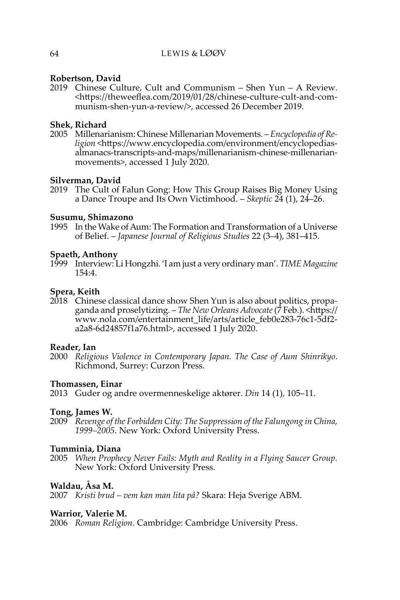# **Robertson, David**

2019 Chinese Culture, Cult and Communism – Shen Yun – A Review. <https://theweeflea.com/2019/01/28/chinese-culture-cult-and-communism-shen-yun-a-review/>, accessed 26 December 2019.

# **Shek, Richard**

2005 Millenarianism: Chinese Millenarian Movements. – *Encyclopedia of Religion* <https://www.encyclopedia.com/environment/encyclopediasalmanacs-transcripts-and-maps/millenarianism-chinese-millenarianmovements>, accessed 1 July 2020.

# **Silverman, David**

2019 The Cult of Falun Gong: How This Group Raises Big Money Using a Dance Troupe and Its Own Victimhood. – *Skeptic* 24 (1), 24–26.

## **Susumu, Shimazono**

1995 In the Wake of Aum: The Formation and Transformation of a Universe of Belief. – *Japanese Journal of Religious Studies* 22 (3–4), 381–415.

## **Spaeth, Anthony**

1999 Interview: Li Hongzhi. 'I am just a very ordinary man'. *TIME Magazine* 154:4.

## **Spera, Keith**

2018 Chinese classical dance show Shen Yun is also about politics, propaganda and proselytizing. – *The New Orleans Advocate* (7 Feb.). <https:// www.nola.com/entertainment\_life/arts/article\_feb0e283-76c1-5df2 a2a8-6d24857f1a76.html>, accessed 1 July 2020.

## **Reader, Ian**

2000 *Religious Violence in Contemporary Japan. The Case of Aum Shinrikyo*. Richmond, Surrey: Curzon Press.

## **Thomassen, Einar**

2013 Guder og andre overmenneskelige aktører. *Din* 14 (1), 105–11.

## **Tong, James W.**

2009 *Revenge of the Forbidden City: The Suppression of the Falungong in China, 1999–2005*. New York: Oxford University Press.

## **Tumminia, Diana**

2005 *When Prophecy Never Fails: Myth and Reality in a Flying Saucer Group.* New York: Oxford University Press.

# **Waldau, Åsa M.**

2007 *Kristi brud – vem kan man lita på?* Skara: Heja Sverige ABM.

## **Warrior, Valerie M.**

2006 *Roman Religion*. Cambridge: Cambridge University Press.